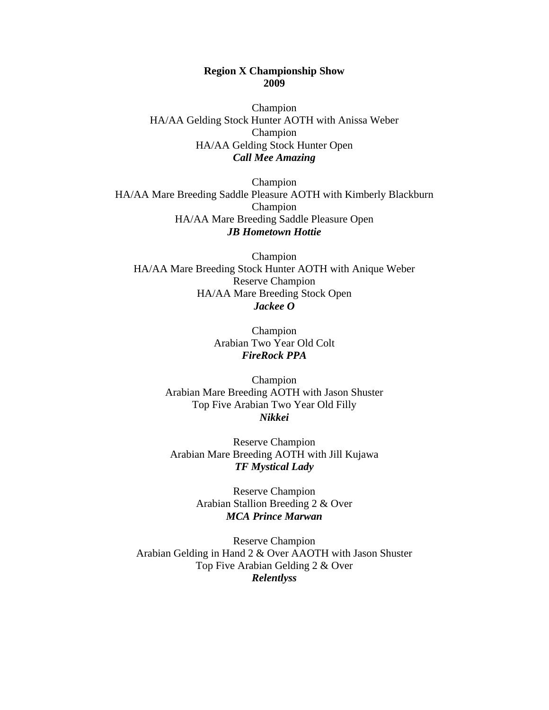## **Region X Championship Show 2009**

Champion HA/AA Gelding Stock Hunter AOTH with Anissa Weber Champion HA/AA Gelding Stock Hunter Open *Call Mee Amazing* 

Champion HA/AA Mare Breeding Saddle Pleasure AOTH with Kimberly Blackburn Champion HA/AA Mare Breeding Saddle Pleasure Open *JB Hometown Hottie* 

Champion HA/AA Mare Breeding Stock Hunter AOTH with Anique Weber Reserve Champion HA/AA Mare Breeding Stock Open *Jackee O* 

> Champion Arabian Two Year Old Colt *FireRock PPA*

Champion Arabian Mare Breeding AOTH with Jason Shuster Top Five Arabian Two Year Old Filly *Nikkei* 

Reserve Champion Arabian Mare Breeding AOTH with Jill Kujawa *TF Mystical Lady* 

> Reserve Champion Arabian Stallion Breeding 2 & Over *MCA Prince Marwan*

Reserve Champion Arabian Gelding in Hand 2 & Over AAOTH with Jason Shuster Top Five Arabian Gelding 2 & Over *Relentlyss*